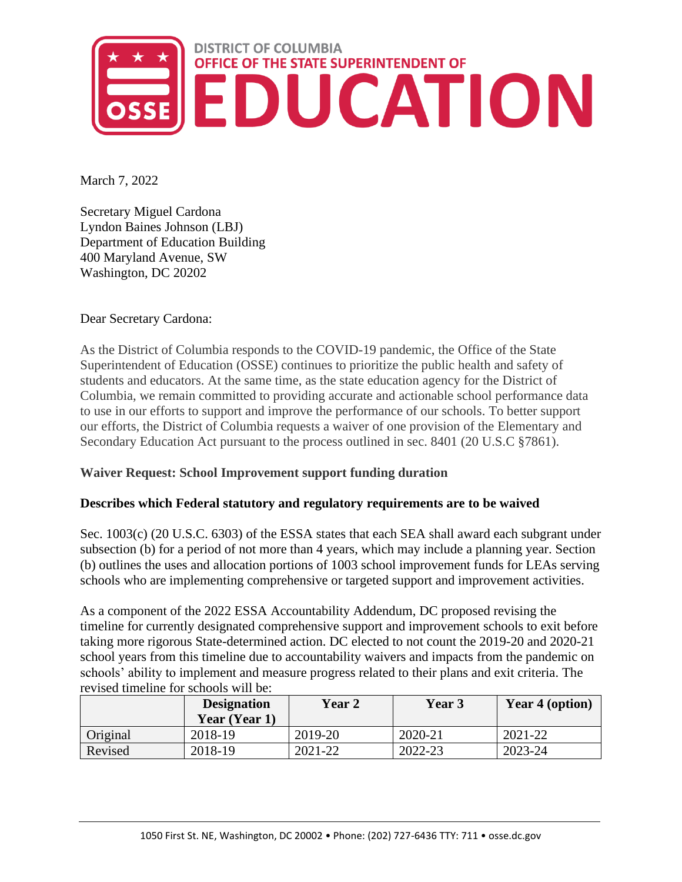

March 7, 2022

Secretary Miguel Cardona Lyndon Baines Johnson (LBJ) Department of Education Building 400 Maryland Avenue, SW Washington, DC 20202

Dear Secretary Cardona:

As the District of Columbia responds to the COVID-19 pandemic, the Office of the State Superintendent of Education (OSSE) continues to prioritize the public health and safety of students and educators. At the same time, as the state education agency for the District of Columbia, we remain committed to providing accurate and actionable school performance data to use in our efforts to support and improve the performance of our schools. To better support our efforts, the District of Columbia requests a waiver of one provision of the Elementary and Secondary Education Act pursuant to the process outlined in sec. 8401 (20 U.S.C §7861).

## **Waiver Request: School Improvement support funding duration**

## **Describes which Federal statutory and regulatory requirements are to be waived**

Sec. 1003(c) (20 U.S.C. 6303) of the ESSA states that each SEA shall award each subgrant under subsection (b) for a period of not more than 4 years, which may include a planning year. Section (b) outlines the uses and allocation portions of 1003 school improvement funds for LEAs serving schools who are implementing comprehensive or targeted support and improvement activities.

As a component of the 2022 ESSA Accountability Addendum, DC proposed revising the timeline for currently designated comprehensive support and improvement schools to exit before taking more rigorous State-determined action. DC elected to not count the 2019-20 and 2020-21 school years from this timeline due to accountability waivers and impacts from the pandemic on schools' ability to implement and measure progress related to their plans and exit criteria. The revised timeline for schools will be:

|          | <b>Designation</b><br>Year (Year 1) | <b>Year 2</b> | Year 3  | Year 4 (option) |
|----------|-------------------------------------|---------------|---------|-----------------|
| Original | 2018-19                             | 2019-20       | 2020-21 | 2021-22         |
| Revised  | 2018-19                             | 2021-22       | 2022-23 | 2023-24         |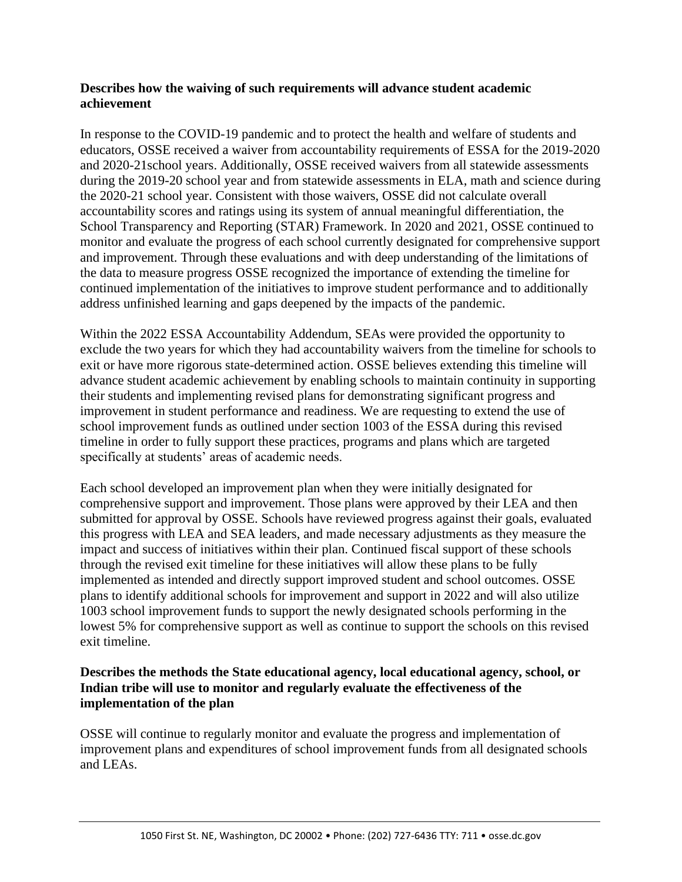## **Describes how the waiving of such requirements will advance student academic achievement**

In response to the COVID-19 pandemic and to protect the health and welfare of students and educators, OSSE received a waiver from accountability requirements of ESSA for the 2019-2020 and 2020-21school years. Additionally, OSSE received waivers from all statewide assessments during the 2019-20 school year and from statewide assessments in ELA, math and science during the 2020-21 school year. Consistent with those waivers, OSSE did not calculate overall accountability scores and ratings using its system of annual meaningful differentiation, the School Transparency and Reporting (STAR) Framework. In 2020 and 2021, OSSE continued to monitor and evaluate the progress of each school currently designated for comprehensive support and improvement. Through these evaluations and with deep understanding of the limitations of the data to measure progress OSSE recognized the importance of extending the timeline for continued implementation of the initiatives to improve student performance and to additionally address unfinished learning and gaps deepened by the impacts of the pandemic.

Within the 2022 ESSA Accountability Addendum, SEAs were provided the opportunity to exclude the two years for which they had accountability waivers from the timeline for schools to exit or have more rigorous state-determined action. OSSE believes extending this timeline will advance student academic achievement by enabling schools to maintain continuity in supporting their students and implementing revised plans for demonstrating significant progress and improvement in student performance and readiness. We are requesting to extend the use of school improvement funds as outlined under section 1003 of the ESSA during this revised timeline in order to fully support these practices, programs and plans which are targeted specifically at students' areas of academic needs.

Each school developed an improvement plan when they were initially designated for comprehensive support and improvement. Those plans were approved by their LEA and then submitted for approval by OSSE. Schools have reviewed progress against their goals, evaluated this progress with LEA and SEA leaders, and made necessary adjustments as they measure the impact and success of initiatives within their plan. Continued fiscal support of these schools through the revised exit timeline for these initiatives will allow these plans to be fully implemented as intended and directly support improved student and school outcomes. OSSE plans to identify additional schools for improvement and support in 2022 and will also utilize 1003 school improvement funds to support the newly designated schools performing in the lowest 5% for comprehensive support as well as continue to support the schools on this revised exit timeline.

## **Describes the methods the State educational agency, local educational agency, school, or Indian tribe will use to monitor and regularly evaluate the effectiveness of the implementation of the plan**

OSSE will continue to regularly monitor and evaluate the progress and implementation of improvement plans and expenditures of school improvement funds from all designated schools and LEAs.